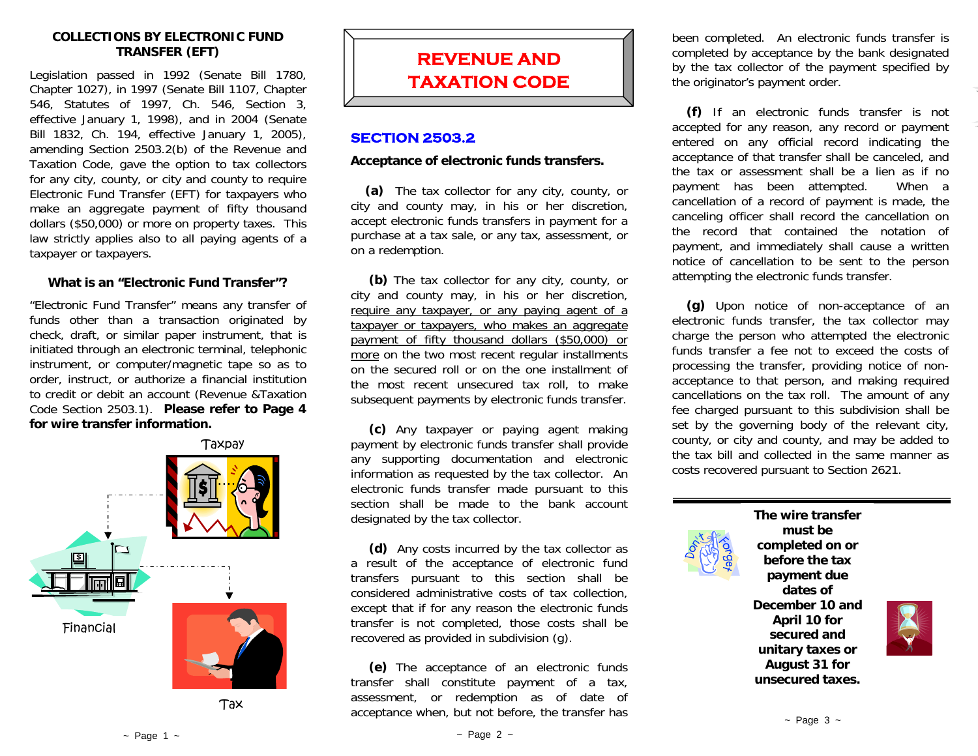#### **COLLECTIONS BY ELECTRONIC FUND TRANSFER (EFT)**

Legislation passed in 1992 (Senate Bill 1780, Chapter 1027), in 1997 (Senate Bill 1107, Chapter 546, Statutes of 1997, Ch. 546, Section 3, effective January 1, 1998), and in 2004 (Senate Bill 1832, Ch. 194, effective January 1, 2005), amending Section 2503.2(b) of the Revenue and Taxation Code, gave the option to tax collectors for any city, county, or city and county to require Electronic Fund Transfer (EFT) for taxpayers who make an aggregate payment of fifty thousand dollars (\$50,000) or more on property taxes. This law strictly applies also to all paying agents of a taxpayer or taxpayers.

## **What is an "Electronic Fund Transfer"?**

"Electronic Fund Transfer" means any transfer of funds other than a transaction originated by check, draft, or similar paper instrument, that is initiated through an electronic terminal, telephonic instrument, or computer/magnetic tape so as to order, instruct, or authorize a financial institution to credit or debit an account (Revenue &Taxation Code Section 2503.1). **Please refer to Page 4 for wire transfer information.** 



Tax



## **SECTION 2503.2**

#### **Acceptance of electronic funds transfers.**

**(a)** The tax collector for any city, county, or city and county may, in his or her discretion, accept electronic funds transfers in payment for a purchase at a tax sale, or any tax, assessment, or on a redemption.

**(b)** The tax collector for any city, county, or city and county may, in his or her discretion, require any taxpayer, or any paying agent of a taxpayer or taxpayers, who makes an aggregate payment of fifty thousand dollars (\$50,000) or more on the two most recent regular installments on the secured roll or on the one installment of the most recent unsecured tax roll, to make subsequent payments by electronic funds transfer.

**(c)** Any taxpayer or paying agent making payment by electronic funds transfer shall provide any supporting documentation and electronic information as requested by the tax collector. An electronic funds transfer made pursuant to this section shall be made to the bank account designated by the tax collector.

**(d)** Any costs incurred by the tax collector as a result of the acceptance of electronic fund transfers pursuant to this section shall be considered administrative costs of tax collection, except that if for any reason the electronic funds transfer is not completed, those costs shall be recovered as provided in subdivision (g).

**(e)** The acceptance of an electronic funds transfer shall constitute payment of a tax, assessment, or redemption as of date of acceptance when, but not before, the transfer has been completed. An electronic funds transfer is completed by acceptance by the bank designated by the tax collector of the payment specified by the originator's payment order.

**(f)** If an electronic funds transfer is not accepted for any reason, any record or payment entered on any official record indicating the acceptance of that transfer shall be canceled, and the tax or assessment shall be a lien as if no payment has been attempted. When a cancellation of a record of payment is made, the canceling officer shall record the cancellation on the record that contained the notation of payment, and immediately shall cause a written notice of cancellation to be sent to the person attempting the electronic funds transfer.

**(g)** Upon notice of non-acceptance of an electronic funds transfer, the tax collector may charge the person who attempted the electronic funds transfer a fee not to exceed the costs of processing the transfer, providing notice of nonacceptance to that person, and making required cancellations on the tax roll. The amount of any fee charged pursuant to this subdivision shall be set by the governing body of the relevant city, county, or city and county, and may be added to the tax bill and collected in the same manner as costs recovered pursuant to Section 2621.



**The wire transfer must be completed on or before the tax payment due dates of December 10 and April 10 for secured and unitary taxes or August 31 for unsecured taxes.**